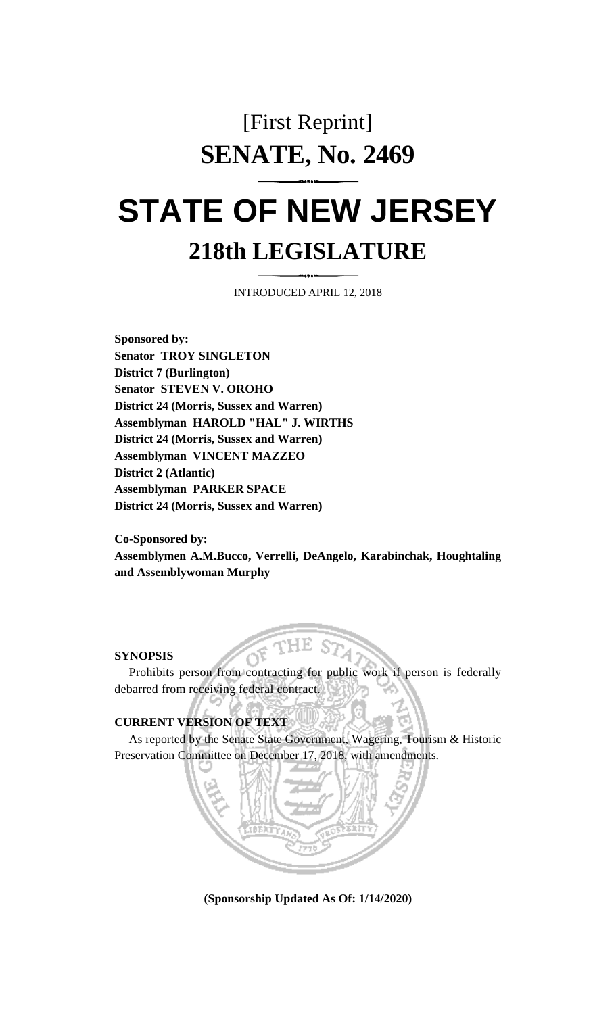## [First Reprint] **SENATE, No. 2469**

## **STATE OF NEW JERSEY 218th LEGISLATURE**

INTRODUCED APRIL 12, 2018

**Sponsored by: Senator TROY SINGLETON District 7 (Burlington) Senator STEVEN V. OROHO District 24 (Morris, Sussex and Warren) Assemblyman HAROLD "HAL" J. WIRTHS District 24 (Morris, Sussex and Warren) Assemblyman VINCENT MAZZEO District 2 (Atlantic) Assemblyman PARKER SPACE District 24 (Morris, Sussex and Warren)**

**Co-Sponsored by: Assemblymen A.M.Bucco, Verrelli, DeAngelo, Karabinchak, Houghtaling and Assemblywoman Murphy**

## **SYNOPSIS**

Prohibits person from contracting for public work if person is federally debarred from receiving federal contract.

## **CURRENT VERSION OF TEXT**

As reported by the Senate State Government, Wagering, Tourism & Historic Preservation Committee on December 17, 2018, with amendments.

**(Sponsorship Updated As Of: 1/14/2020)**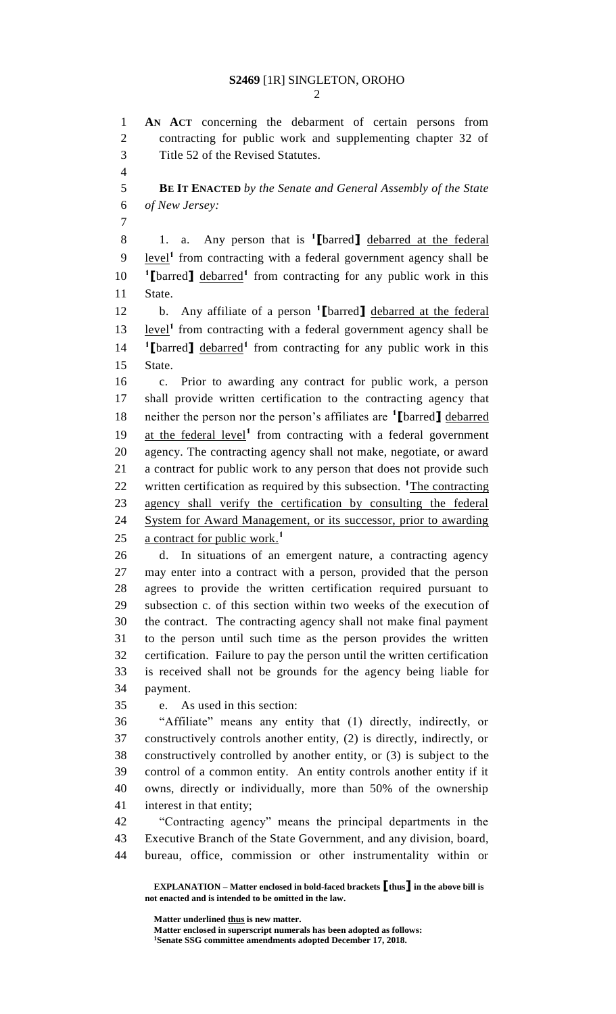**AN ACT** concerning the debarment of certain persons from contracting for public work and supplementing chapter 32 of Title 52 of the Revised Statutes.

 **BE IT ENACTED** *by the Senate and General Assembly of the State of New Jersey:*

1. a. Any person that is **<sup>1</sup> [**barred**]** debarred at the federal 9 level<sup>1</sup> from contracting with a federal government agency shall be 10 *l***[**barred**]** debarred<sup>1</sup> from contracting for any public work in this State.

b. Any affiliate of a person **<sup>1</sup> [**barred**]** debarred at the federal 13 level<sup>1</sup> from contracting with a federal government agency shall be 14 **I** [barred] debarred<sup>1</sup> from contracting for any public work in this State.

 c. Prior to awarding any contract for public work, a person shall provide written certification to the contracting agency that neither the person nor the person's affiliates are **<sup>1</sup> [**barred**]** debarred 19 at the federal level<sup>1</sup> from contracting with a federal government agency. The contracting agency shall not make, negotiate, or award a contract for public work to any person that does not provide such 22 written certification as required by this subsection. <sup>1</sup>The contracting agency shall verify the certification by consulting the federal System for Award Management, or its successor, prior to awarding a contract for public work. **1** 

 d. In situations of an emergent nature, a contracting agency may enter into a contract with a person, provided that the person agrees to provide the written certification required pursuant to subsection c. of this section within two weeks of the execution of the contract. The contracting agency shall not make final payment to the person until such time as the person provides the written certification. Failure to pay the person until the written certification is received shall not be grounds for the agency being liable for payment.

e. As used in this section:

 "Affiliate" means any entity that (1) directly, indirectly, or constructively controls another entity, (2) is directly, indirectly, or constructively controlled by another entity, or (3) is subject to the control of a common entity. An entity controls another entity if it owns, directly or individually, more than 50% of the ownership interest in that entity;

 "Contracting agency" means the principal departments in the Executive Branch of the State Government, and any division, board, bureau, office, commission or other instrumentality within or

**EXPLANATION – Matter enclosed in bold-faced brackets [thus] in the above bill is not enacted and is intended to be omitted in the law.**

**Matter underlined thus is new matter. Matter enclosed in superscript numerals has been adopted as follows: Senate SSG committee amendments adopted December 17, 2018.**